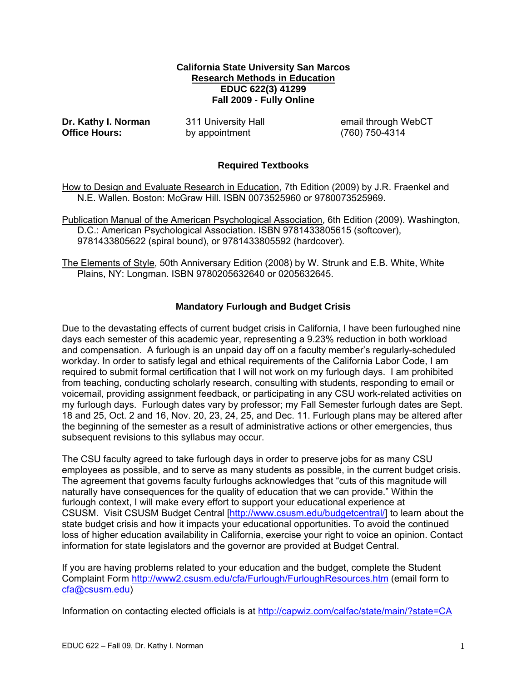#### **California State University San Marcos Research Methods in Education EDUC 622(3) 41299 Fall 2009 - Fully Online**

Dr. Kathy I. Norman **Office Hours:** by appointment (760) 750-4314

**Dr. Act 11 University Hall email through WebCT** 

# **Required Textbooks**

How to Design and Evaluate Research in Education, 7th Edition (2009) by J.R. Fraenkel and N.E. Wallen. Boston: McGraw Hill. ISBN 0073525960 or 9780073525969.

Publication Manual of the American Psychological Association, 6th Edition (2009). Washington, D.C.: American Psychological Association. ISBN 9781433805615 (softcover), 9781433805622 (spiral bound), or 9781433805592 (hardcover).

The Elements of Style, 50th Anniversary Edition (2008) by W. Strunk and E.B. White, White Plains, NY: Longman. ISBN 9780205632640 or 0205632645.

# **Mandatory Furlough and Budget Crisis**

Due to the devastating effects of current budget crisis in California, I have been furloughed nine days each semester of this academic year, representing a 9.23% reduction in both workload and compensation. A furlough is an unpaid day off on a faculty member's regularly-scheduled workday. In order to satisfy legal and ethical requirements of the California Labor Code, I am required to submit formal certification that I will not work on my furlough days. I am prohibited from teaching, conducting scholarly research, consulting with students, responding to email or voicemail, providing assignment feedback, or participating in any CSU work-related activities on my furlough days. Furlough dates vary by professor; my Fall Semester furlough dates are Sept. 18 and 25, Oct. 2 and 16, Nov. 20, 23, 24, 25, and Dec. 11. Furlough plans may be altered after the beginning of the semester as a result of administrative actions or other emergencies, thus subsequent revisions to this syllabus may occur.

The CSU faculty agreed to take furlough days in order to preserve jobs for as many CSU employees as possible, and to serve as many students as possible, in the current budget crisis. The agreement that governs faculty furloughs acknowledges that "cuts of this magnitude will naturally have consequences for the quality of education that we can provide." Within the furlough context, I will make every effort to support your educational experience at CSUSM. Visit CSUSM Budget Central [http://www.csusm.edu/budgetcentral/] to learn about the state budget crisis and how it impacts your educational opportunities. To avoid the continued loss of higher education availability in California, exercise your right to voice an opinion. Contact information for state legislators and the governor are provided at Budget Central.

If you are having problems related to your education and the budget, complete the Student Complaint Form http://www2.csusm.edu/cfa/Furlough/FurloughResources.htm (email form to cfa@csusm.edu)

Information on contacting elected officials is at http://capwiz.com/calfac/state/main/?state=CA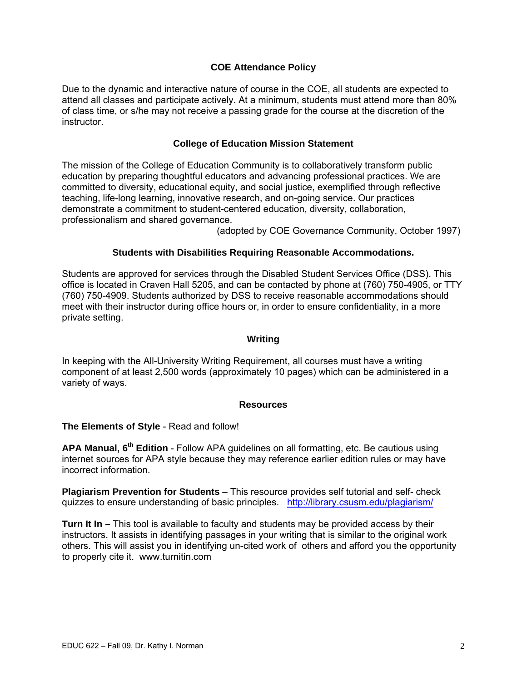## **COE Attendance Policy**

Due to the dynamic and interactive nature of course in the COE, all students are expected to attend all classes and participate actively. At a minimum, students must attend more than 80% of class time, or s/he may not receive a passing grade for the course at the discretion of the instructor.

#### **College of Education Mission Statement**

The mission of the College of Education Community is to collaboratively transform public education by preparing thoughtful educators and advancing professional practices. We are committed to diversity, educational equity, and social justice, exemplified through reflective teaching, life-long learning, innovative research, and on-going service. Our practices demonstrate a commitment to student-centered education, diversity, collaboration, professionalism and shared governance.

(adopted by COE Governance Community, October 1997)

#### **Students with Disabilities Requiring Reasonable Accommodations.**

Students are approved for services through the Disabled Student Services Office (DSS). This office is located in Craven Hall 5205, and can be contacted by phone at (760) 750-4905, or TTY (760) 750-4909. Students authorized by DSS to receive reasonable accommodations should meet with their instructor during office hours or, in order to ensure confidentiality, in a more private setting.

#### **Writing**

In keeping with the All-University Writing Requirement, all courses must have a writing component of at least 2,500 words (approximately 10 pages) which can be administered in a variety of ways.

#### **Resources**

**The Elements of Style** - Read and follow!

**APA Manual, 6th Edition** - Follow APA guidelines on all formatting, etc. Be cautious using internet sources for APA style because they may reference earlier edition rules or may have incorrect information.

**Plagiarism Prevention for Students** – This resource provides self tutorial and self- check quizzes to ensure understanding of basic principles. http://library.csusm.edu/plagiarism/

**Turn It In –** This tool is available to faculty and students may be provided access by their instructors. It assists in identifying passages in your writing that is similar to the original work others. This will assist you in identifying un-cited work of others and afford you the opportunity to properly cite it. www.turnitin.com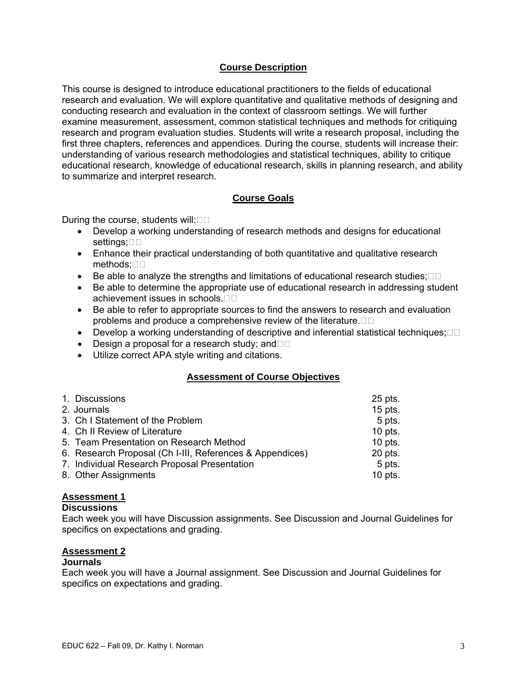#### **Course Description**

This course is designed to introduce educational practitioners to the fields of educational research and evaluation. We will explore quantitative and qualitative methods of designing and conducting research and evaluation in the context of classroom settings. We will further examine measurement, assessment, common statistical techniques and methods for critiquing research and program evaluation studies. Students will write a research proposal, including the first three chapters, references and appendices. During the course, students will increase their: understanding of various research methodologies and statistical techniques, ability to critique educational research, knowledge of educational research, skills in planning research, and ability to summarize and interpret research.

## **Course Goals**

During the course, students will: $\square\square$ 

- Develop a working understanding of research methods and designs for educational settings; $\square \square$
- Enhance their practical understanding of both quantitative and qualitative research methods;□□
- Be able to analyze the strengths and limitations of educational research studies; $\Box$  $\Box$
- Be able to determine the appropriate use of educational research in addressing student achievement issues in schools.
- Be able to refer to appropriate sources to find the answers to research and evaluation problems and produce a comprehensive review of the literature. $\Box$  $\Box$
- Develop a working understanding of descriptive and inferential statistical techniques; $\Box$  $\Box$
- Design a proposal for a research study; and  $\Box$
- • Utilize correct APA style writing and citations.

#### **Assessment of Course Objectives**

| 1. Discussions                                           | $25$ pts. |
|----------------------------------------------------------|-----------|
| 2. Journals                                              | $15$ pts. |
| 3. Ch I Statement of the Problem                         | 5 pts.    |
| 4. Ch II Review of Literature                            | $10$ pts. |
| 5. Team Presentation on Research Method                  | $10$ pts. |
| 6. Research Proposal (Ch I-III, References & Appendices) | 20 pts.   |
| 7. Individual Research Proposal Presentation             | 5 pts.    |
| 8. Other Assignments                                     | $10$ pts. |

#### **Assessment 1**

#### **Discussions**

Each week you will have Discussion assignments. See Discussion and Journal Guidelines for specifics on expectations and grading.

#### **Assessment 2**

#### **Journals**

Each week you will have a Journal assignment. See Discussion and Journal Guidelines for specifics on expectations and grading.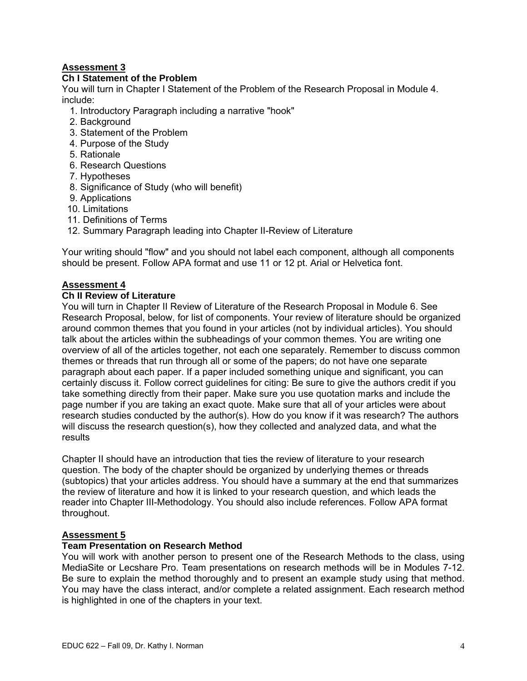# **Assessment 3**

# **Assessment 3 Ch I Statement of the Problem**

You will turn in Chapter I Statement of the Problem of the Research Proposal in Module 4. include:

1. Introductory Paragraph including a narrative "hook"

- 2. Background
- 3. Statement of the Problem
- 4. Purpose of the Study
- 5. Rationale
- 6. Research Questions
- 7. Hypotheses
- 8. Significance of Study (who will benefit)
- 9. Applications
- 10. Limitations
- 11. Definitions of Terms
- 12. Summary Paragraph leading into Chapter II-Review of Literature

Your writing should "flow" and you should not label each component, although all components should be present. Follow APA format and use 11 or 12 pt. Arial or Helvetica font.

# **Assessment 4**

# **Assessment 4 Ch II Review of Literature**

You will turn in Chapter II Review of Literature of the Research Proposal in Module 6. See Research Proposal, below, for list of components. Your review of literature should be organized around common themes that you found in your articles (not by individual articles). You should talk about the articles within the subheadings of your common themes. You are writing one overview of all of the articles together, not each one separately. Remember to discuss common themes or threads that run through all or some of the papers; do not have one separate paragraph about each paper. If a paper included something unique and significant, you can certainly discuss it. Follow correct guidelines for citing: Be sure to give the authors credit if you take something directly from their paper. Make sure you use quotation marks and include the page number if you are taking an exact quote. Make sure that all of your articles were about research studies conducted by the author(s). How do you know if it was research? The authors will discuss the research question(s), how they collected and analyzed data, and what the results

Chapter II should have an introduction that ties the review of literature to your research question. The body of the chapter should be organized by underlying themes or threads (subtopics) that your articles address. You should have a summary at the end that summarizes the review of literature and how it is linked to your research question, and which leads the reader into Chapter III-Methodology. You should also include references. Follow APA format throughout.

## **Assessment 5**

#### **Team Presentation on Research Method**

You will work with another person to present one of the Research Methods to the class, using MediaSite or Lecshare Pro. Team presentations on research methods will be in Modules 7-12. Be sure to explain the method thoroughly and to present an example study using that method. You may have the class interact, and/or complete a related assignment. Each research method is highlighted in one of the chapters in your text.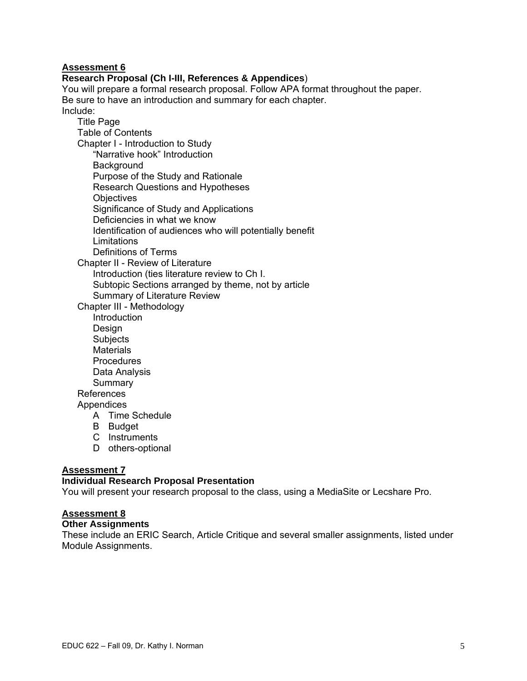#### **Assessment 6**

#### **Research Proposal (Ch I-III, References & Appendices**)

You will prepare a formal research proposal. Follow APA format throughout the paper. Be sure to have an introduction and summary for each chapter. Include:

Title Page Table of Contents Chapter I - Introduction to Study "Narrative hook" Introduction **Background** Purpose of the Study and Rationale Research Questions and Hypotheses **Objectives** Significance of Study and Applications Deficiencies in what we know Identification of audiences who will potentially benefit **Limitations** Definitions of Terms

Chapter II - Review of Literature Introduction (ties literature review to Ch I. Subtopic Sections arranged by theme, not by article Summary of Literature Review

Chapter III - Methodology

Introduction Design Subjects **Materials** Procedures Data Analysis **Summary** References **Appendices** 

- A Time Schedule
- B Budget
- C Instruments
- D others-optional

## **Assessment 7**

#### **Individual Research Proposal Presentation**

You will present your research proposal to the class, using a MediaSite or Lecshare Pro.

# **Assessment 8**

#### **Other Assignments**

These include an ERIC Search, Article Critique and several smaller assignments, listed under Module Assignments.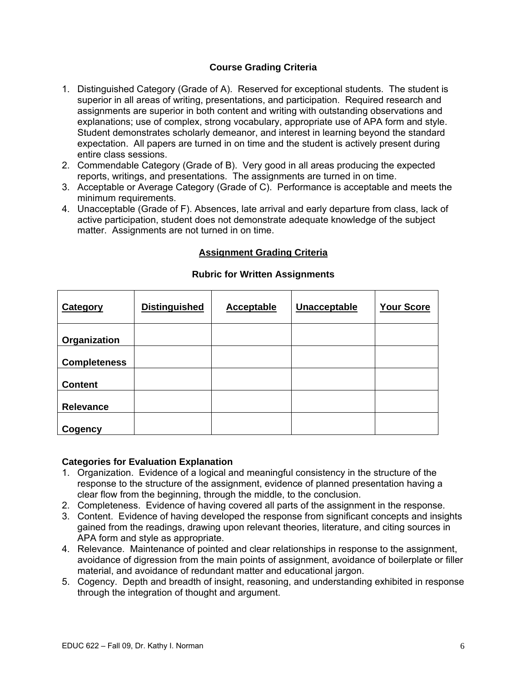# **Course Grading Criteria**

- 1. Distinguished Category (Grade of A). Reserved for exceptional students. The student is superior in all areas of writing, presentations, and participation. Required research and assignments are superior in both content and writing with outstanding observations and explanations; use of complex, strong vocabulary, appropriate use of APA form and style. Student demonstrates scholarly demeanor, and interest in learning beyond the standard expectation. All papers are turned in on time and the student is actively present during entire class sessions.
- 2. Commendable Category (Grade of B). Very good in all areas producing the expected reports, writings, and presentations. The assignments are turned in on time.
- 3. Acceptable or Average Category (Grade of C). Performance is acceptable and meets the minimum requirements.
- 4. Unacceptable (Grade of F). Absences, late arrival and early departure from class, lack of active participation, student does not demonstrate adequate knowledge of the subject matter. Assignments are not turned in on time.

# **Assignment Grading Criteria**

| <b>Category</b>     | <b>Distinguished</b> | <b>Acceptable</b> | Unacceptable | <b>Your Score</b> |
|---------------------|----------------------|-------------------|--------------|-------------------|
| Organization        |                      |                   |              |                   |
| <b>Completeness</b> |                      |                   |              |                   |
| <b>Content</b>      |                      |                   |              |                   |
| Relevance           |                      |                   |              |                   |
| Cogency             |                      |                   |              |                   |

#### **Rubric for Written Assignments**

#### **Categories for Evaluation Explanation**

- 1. Organization. Evidence of a logical and meaningful consistency in the structure of the response to the structure of the assignment, evidence of planned presentation having a clear flow from the beginning, through the middle, to the conclusion.
- 2. Completeness. Evidence of having covered all parts of the assignment in the response.
- 3. Content. Evidence of having developed the response from significant concepts and insights gained from the readings, drawing upon relevant theories, literature, and citing sources in APA form and style as appropriate.
- 4. Relevance. Maintenance of pointed and clear relationships in response to the assignment, avoidance of digression from the main points of assignment, avoidance of boilerplate or filler material, and avoidance of redundant matter and educational jargon.
- 5. Cogency. Depth and breadth of insight, reasoning, and understanding exhibited in response through the integration of thought and argument.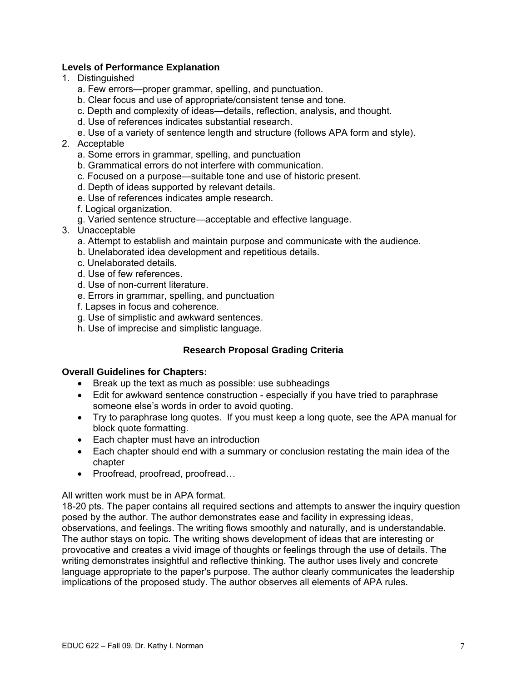## **Levels of Performance Explanation**

- 1. Distinguished
	- a. Few errors—proper grammar, spelling, and punctuation.
	- b. Clear focus and use of appropriate/consistent tense and tone.
	- c. Depth and complexity of ideas—details, reflection, analysis, and thought.
	- d. Use of references indicates substantial research.
	- e. Use of a variety of sentence length and structure (follows APA form and style).
- 2. Acceptable
	- a. Some errors in grammar, spelling, and punctuation
	- b. Grammatical errors do not interfere with communication.
	- c. Focused on a purpose—suitable tone and use of historic present.
	- d. Depth of ideas supported by relevant details.
	- e. Use of references indicates ample research.
	- f. Logical organization.
	- g. Varied sentence structure—acceptable and effective language.
- 3. Unacceptable
	- a. Attempt to establish and maintain purpose and communicate with the audience.
	- b. Unelaborated idea development and repetitious details.
	- c. Unelaborated details.
	- d. Use of few references.
	- d. Use of non-current literature.
	- e. Errors in grammar, spelling, and punctuation
	- f. Lapses in focus and coherence.
	- g. Use of simplistic and awkward sentences.
	- h. Use of imprecise and simplistic language.

## **Research Proposal Grading Criteria**

#### **Overall Guidelines for Chapters:**

- Break up the text as much as possible: use subheadings
- Edit for awkward sentence construction especially if you have tried to paraphrase someone else's words in order to avoid quoting.
- Try to paraphrase long quotes. If you must keep a long quote, see the APA manual for block quote formatting.
- Each chapter must have an introduction
- Each chapter should end with a summary or conclusion restating the main idea of the chapter
- Proofread, proofread, proofread...

All written work must be in APA format.

18-20 pts. The paper contains all required sections and attempts to answer the inquiry question posed by the author. The author demonstrates ease and facility in expressing ideas, observations, and feelings. The writing flows smoothly and naturally, and is understandable. The author stays on topic. The writing shows development of ideas that are interesting or provocative and creates a vivid image of thoughts or feelings through the use of details. The writing demonstrates insightful and reflective thinking. The author uses lively and concrete language appropriate to the paper's purpose. The author clearly communicates the leadership implications of the proposed study. The author observes all elements of APA rules.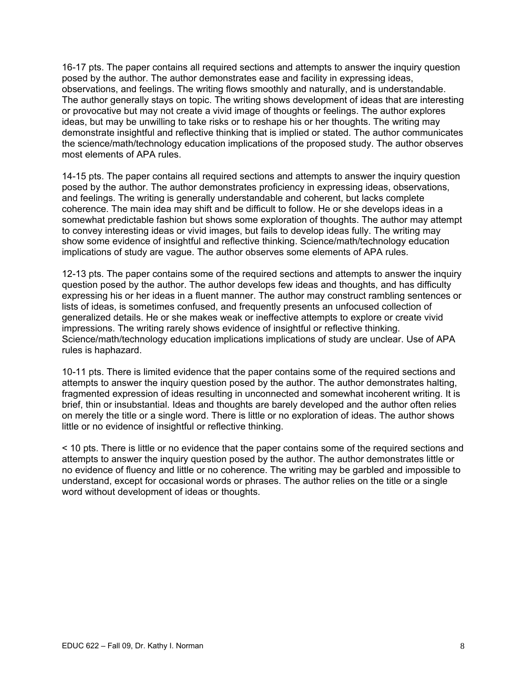16-17 pts. The paper contains all required sections and attempts to answer the inquiry question posed by the author. The author demonstrates ease and facility in expressing ideas, observations, and feelings. The writing flows smoothly and naturally, and is understandable. The author generally stays on topic. The writing shows development of ideas that are interesting or provocative but may not create a vivid image of thoughts or feelings. The author explores ideas, but may be unwilling to take risks or to reshape his or her thoughts. The writing may demonstrate insightful and reflective thinking that is implied or stated. The author communicates the science/math/technology education implications of the proposed study. The author observes most elements of APA rules.

14-15 pts. The paper contains all required sections and attempts to answer the inquiry question posed by the author. The author demonstrates proficiency in expressing ideas, observations, and feelings. The writing is generally understandable and coherent, but lacks complete coherence. The main idea may shift and be difficult to follow. He or she develops ideas in a somewhat predictable fashion but shows some exploration of thoughts. The author may attempt to convey interesting ideas or vivid images, but fails to develop ideas fully. The writing may show some evidence of insightful and reflective thinking. Science/math/technology education implications of study are vague. The author observes some elements of APA rules.

12-13 pts. The paper contains some of the required sections and attempts to answer the inquiry question posed by the author. The author develops few ideas and thoughts, and has difficulty expressing his or her ideas in a fluent manner. The author may construct rambling sentences or lists of ideas, is sometimes confused, and frequently presents an unfocused collection of generalized details. He or she makes weak or ineffective attempts to explore or create vivid impressions. The writing rarely shows evidence of insightful or reflective thinking. Science/math/technology education implications implications of study are unclear. Use of APA rules is haphazard.

10-11 pts. There is limited evidence that the paper contains some of the required sections and attempts to answer the inquiry question posed by the author. The author demonstrates halting, fragmented expression of ideas resulting in unconnected and somewhat incoherent writing. It is brief, thin or insubstantial. Ideas and thoughts are barely developed and the author often relies on merely the title or a single word. There is little or no exploration of ideas. The author shows little or no evidence of insightful or reflective thinking.

< 10 pts. There is little or no evidence that the paper contains some of the required sections and attempts to answer the inquiry question posed by the author. The author demonstrates little or no evidence of fluency and little or no coherence. The writing may be garbled and impossible to understand, except for occasional words or phrases. The author relies on the title or a single word without development of ideas or thoughts.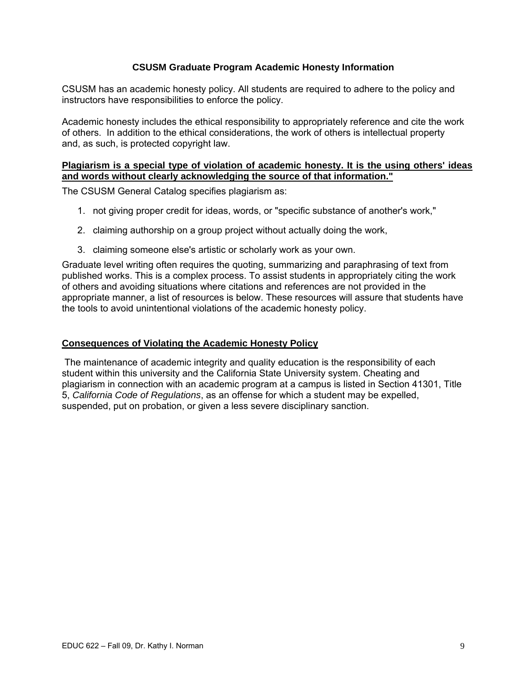## **CSUSM Graduate Program Academic Honesty Information**

CSUSM has an academic honesty policy. All students are required to adhere to the policy and instructors have responsibilities to enforce the policy.

Academic honesty includes the ethical responsibility to appropriately reference and cite the work of others. In addition to the ethical considerations, the work of others is intellectual property and, as such, is protected copyright law.

#### **Plagiarism is a special type of violation of academic honesty. It is the using others' ideas and words without clearly acknowledging the source of that information."**

The CSUSM General Catalog specifies plagiarism as:

- 1. not giving proper credit for ideas, words, or "specific substance of another's work,"
- 2. claiming authorship on a group project without actually doing the work,
- 3. claiming someone else's artistic or scholarly work as your own.

Graduate level writing often requires the quoting, summarizing and paraphrasing of text from published works. This is a complex process. To assist students in appropriately citing the work of others and avoiding situations where citations and references are not provided in the appropriate manner, a list of resources is below. These resources will assure that students have the tools to avoid unintentional violations of the academic honesty policy.

## **Consequences of Violating the Academic Honesty Policy**

The maintenance of academic integrity and quality education is the responsibility of each student within this university and the California State University system. Cheating and plagiarism in connection with an academic program at a campus is listed in Section 41301, Title 5, *California Code of Regulations*, as an offense for which a student may be expelled, suspended, put on probation, or given a less severe disciplinary sanction.